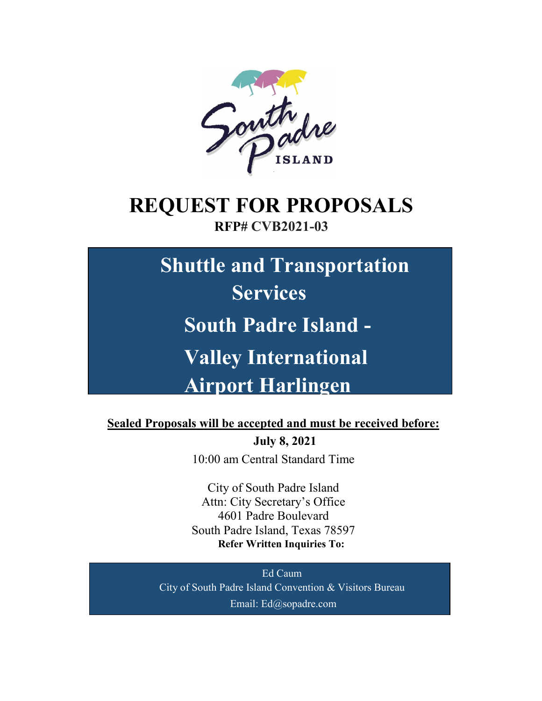

# **REQUEST FOR PROPOSALS**

### **RFP# CVB2021-03**

**Shuttle and Transportation Services South Padre Island - Valley International Airport Harlingen**

**Sealed Proposals will be accepted and must be received before:**

**July 8, 2021** 10:00 am Central Standard Time

City of South Padre Island Attn: City Secretary's Office 4601 Padre Boulevard South Padre Island, Texas 78597 **Refer Written Inquiries To:**

Ed Caum City of South Padre Island Convention & Visitors Bureau Email: Ed@sopadre.com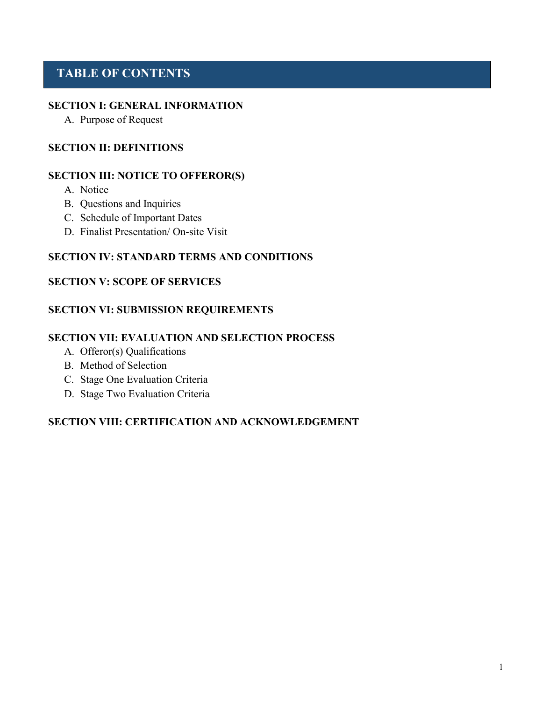### **TABLE OF CONTENTS**

#### **SECTION I: GENERAL INFORMATION**

A. Purpose of Request

#### **SECTION II: DEFINITIONS**

#### **SECTION III: NOTICE TO OFFEROR(S)**

- A. Notice
- B. Questions and Inquiries
- C. Schedule of Important Dates
- D. Finalist Presentation/ On-site Visit

#### **SECTION IV: STANDARD TERMS AND CONDITIONS**

#### **SECTION V: SCOPE OF SERVICES**

### **SECTION VI: SUBMISSION REQUIREMENTS**

#### **SECTION VII: EVALUATION AND SELECTION PROCESS**

- A. Offeror(s) Qualifications
- B. Method of Selection
- C. Stage One Evaluation Criteria
- D. Stage Two Evaluation Criteria

### **SECTION VIII: CERTIFICATION AND ACKNOWLEDGEMENT**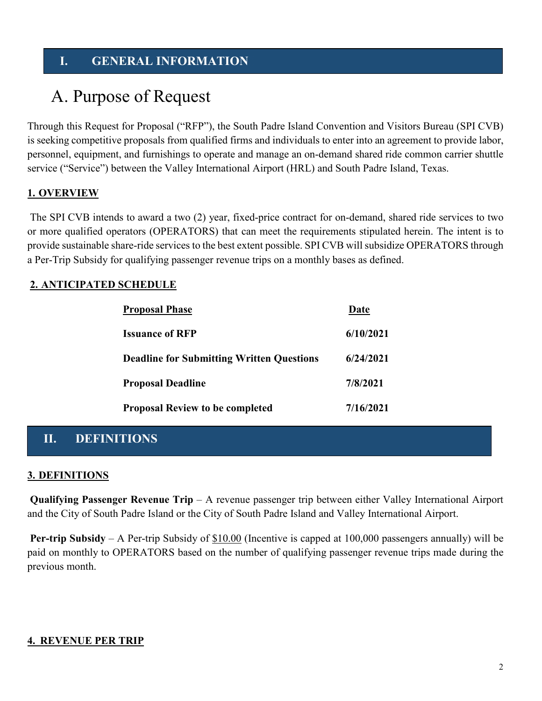### **I. GENERAL INFORMATION**

### A. Purpose of Request

Through this Request for Proposal ("RFP"), the South Padre Island Convention and Visitors Bureau (SPI CVB) is seeking competitive proposals from qualified firms and individuals to enter into an agreement to provide labor, personnel, equipment, and furnishings to operate and manage an on-demand shared ride common carrier shuttle service ("Service") between the Valley International Airport (HRL) and South Padre Island, Texas.

### **1. OVERVIEW**

The SPI CVB intends to award a two (2) year, fixed-price contract for on-demand, shared ride services to two or more qualified operators (OPERATORS) that can meet the requirements stipulated herein. The intent is to provide sustainable share-ride services to the best extent possible. SPI CVB will subsidize OPERATORS through a Per-Trip Subsidy for qualifying passenger revenue trips on a monthly bases as defined.

### **2. ANTICIPATED SCHEDULE**

| <b>Proposal Phase</b>                            | Date      |  |
|--------------------------------------------------|-----------|--|
| <b>Issuance of RFP</b>                           | 6/10/2021 |  |
| <b>Deadline for Submitting Written Questions</b> | 6/24/2021 |  |
| <b>Proposal Deadline</b>                         | 7/8/2021  |  |
| <b>Proposal Review to be completed</b>           | 7/16/2021 |  |

### **II. DEFINITIONS**

### **3. DEFINITIONS**

**Qualifying Passenger Revenue Trip** – A revenue passenger trip between either Valley International Airport and the City of South Padre Island or the City of South Padre Island and Valley International Airport.

**Per-trip Subsidy** – A Per-trip Subsidy of \$10.00 (Incentive is capped at 100,000 passengers annually) will be paid on monthly to OPERATORS based on the number of qualifying passenger revenue trips made during the previous month.

### **4. REVENUE PER TRIP**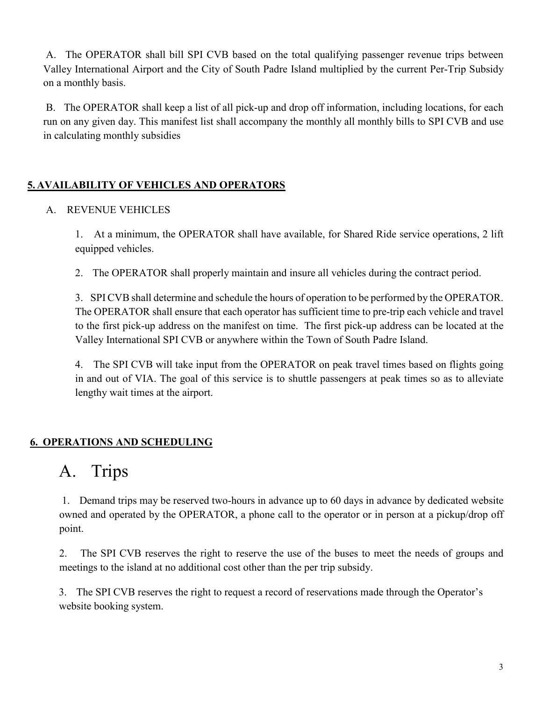A. The OPERATOR shall bill SPI CVB based on the total qualifying passenger revenue trips between Valley International Airport and the City of South Padre Island multiplied by the current Per-Trip Subsidy on a monthly basis.

B. The OPERATOR shall keep a list of all pick-up and drop off information, including locations, for each run on any given day. This manifest list shall accompany the monthly all monthly bills to SPI CVB and use in calculating monthly subsidies

### **5. AVAILABILITY OF VEHICLES AND OPERATORS**

### A. REVENUE VEHICLES

1. At a minimum, the OPERATOR shall have available, for Shared Ride service operations, 2 lift equipped vehicles.

2. The OPERATOR shall properly maintain and insure all vehicles during the contract period.

3. SPI CVB shall determine and schedule the hours of operation to be performed by the OPERATOR. The OPERATOR shall ensure that each operator has sufficient time to pre-trip each vehicle and travel to the first pick-up address on the manifest on time. The first pick-up address can be located at the Valley International SPI CVB or anywhere within the Town of South Padre Island.

4. The SPI CVB will take input from the OPERATOR on peak travel times based on flights going in and out of VIA. The goal of this service is to shuttle passengers at peak times so as to alleviate lengthy wait times at the airport.

### **6. OPERATIONS AND SCHEDULING**

### A. Trips

1. Demand trips may be reserved two-hours in advance up to 60 days in advance by dedicated website owned and operated by the OPERATOR, a phone call to the operator or in person at a pickup/drop off point.

2. The SPI CVB reserves the right to reserve the use of the buses to meet the needs of groups and meetings to the island at no additional cost other than the per trip subsidy.

3. The SPI CVB reserves the right to request a record of reservations made through the Operator's website booking system.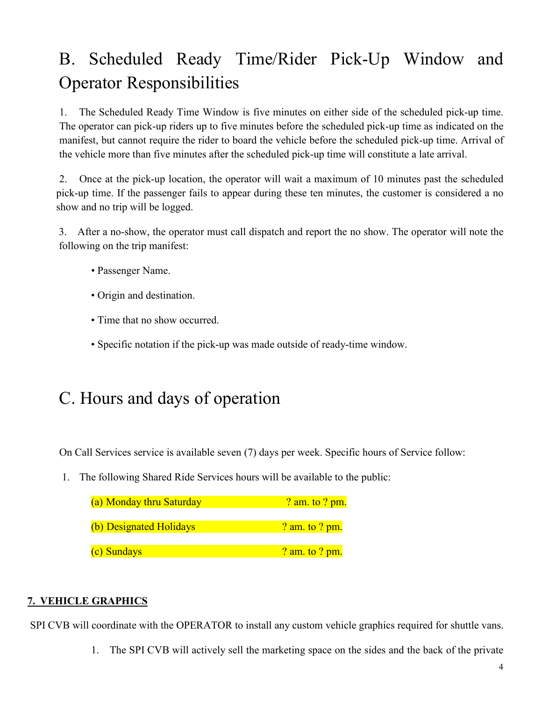# B. Scheduled Ready Time/Rider Pick-Up Window and Operator Responsibilities

1. The Scheduled Ready Time Window is five minutes on either side of the scheduled pick-up time. The operator can pick-up riders up to five minutes before the scheduled pick-up time as indicated on the manifest, but cannot require the rider to board the vehicle before the scheduled pick-up time. Arrival of the vehicle more than five minutes after the scheduled pick-up time will constitute a late arrival.

2. Once at the pick-up location, the operator will wait a maximum of 10 minutes past the scheduled pick-up time. If the passenger fails to appear during these ten minutes, the customer is considered a no show and no trip will be logged.

3. After a no-show, the operator must call dispatch and report the no show. The operator will note the following on the trip manifest:

- Passenger Name.
- Origin and destination.
- Time that no show occurred.
- Specific notation if the pick-up was made outside of ready-time window.

## C. Hours and days of operation

On Call Services service is available seven (7) days per week. Specific hours of Service follow:

1. The following Shared Ride Services hours will be available to the public:

| (a) Monday thru Saturday | <u>? am. to ? pm.</u> |
|--------------------------|-----------------------|
| (b) Designated Holidays  | ? am. to ? pm.        |
| (c) Sundays              | ? am. to ? pm.        |

### **7. VEHICLE GRAPHICS**

SPI CVB will coordinate with the OPERATOR to install any custom vehicle graphics required for shuttle vans.

1. The SPI CVB will actively sell the marketing space on the sides and the back of the private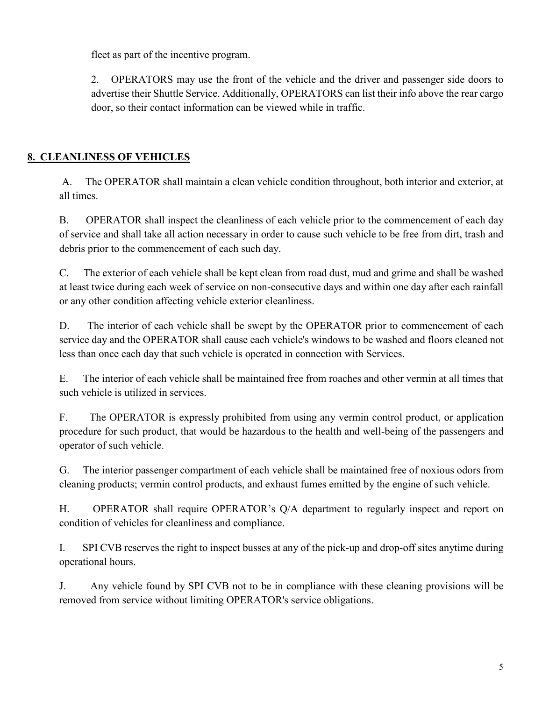fleet as part of the incentive program.

2. OPERATORS may use the front of the vehicle and the driver and passenger side doors to advertise their Shuttle Service. Additionally, OPERATORS can list their info above the rear cargo door, so their contact information can be viewed while in traffic.

### **8. CLEANLINESS OF VEHICLES**

A. The OPERATOR shall maintain a clean vehicle condition throughout, both interior and exterior, at all times.

B. OPERATOR shall inspect the cleanliness of each vehicle prior to the commencement of each day of service and shall take all action necessary in order to cause such vehicle to be free from dirt, trash and debris prior to the commencement of each such day.

C. The exterior of each vehicle shall be kept clean from road dust, mud and grime and shall be washed at least twice during each week of service on non-consecutive days and within one day after each rainfall or any other condition affecting vehicle exterior cleanliness.

D. The interior of each vehicle shall be swept by the OPERATOR prior to commencement of each service day and the OPERATOR shall cause each vehicle's windows to be washed and floors cleaned not less than once each day that such vehicle is operated in connection with Services.

E. The interior of each vehicle shall be maintained free from roaches and other vermin at all times that such vehicle is utilized in services.

F. The OPERATOR is expressly prohibited from using any vermin control product, or application procedure for such product, that would be hazardous to the health and well-being of the passengers and operator of such vehicle.

G. The interior passenger compartment of each vehicle shall be maintained free of noxious odors from cleaning products; vermin control products, and exhaust fumes emitted by the engine of such vehicle.

H. OPERATOR shall require OPERATOR's Q/A department to regularly inspect and report on condition of vehicles for cleanliness and compliance.

I. SPI CVB reserves the right to inspect busses at any of the pick-up and drop-off sites anytime during operational hours.

J. Any vehicle found by SPI CVB not to be in compliance with these cleaning provisions will be removed from service without limiting OPERATOR's service obligations.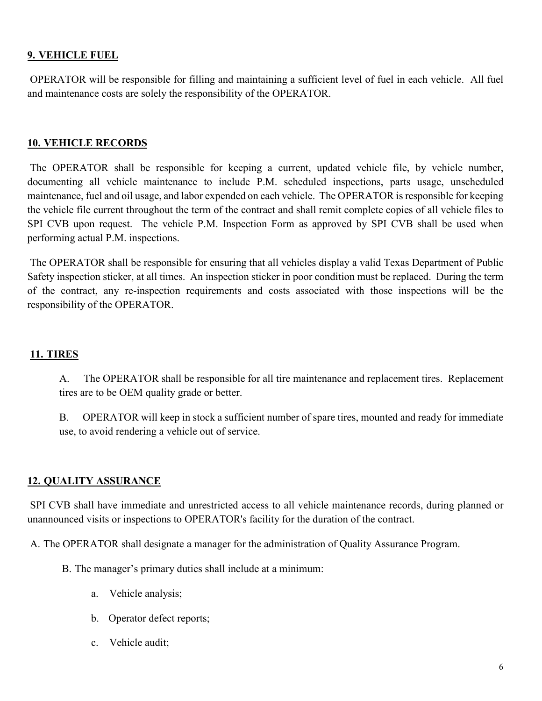### **9. VEHICLE FUEL**

OPERATOR will be responsible for filling and maintaining a sufficient level of fuel in each vehicle. All fuel and maintenance costs are solely the responsibility of the OPERATOR.

#### **10. VEHICLE RECORDS**

The OPERATOR shall be responsible for keeping a current, updated vehicle file, by vehicle number, documenting all vehicle maintenance to include P.M. scheduled inspections, parts usage, unscheduled maintenance, fuel and oil usage, and labor expended on each vehicle. The OPERATOR is responsible for keeping the vehicle file current throughout the term of the contract and shall remit complete copies of all vehicle files to SPI CVB upon request. The vehicle P.M. Inspection Form as approved by SPI CVB shall be used when performing actual P.M. inspections.

The OPERATOR shall be responsible for ensuring that all vehicles display a valid Texas Department of Public Safety inspection sticker, at all times. An inspection sticker in poor condition must be replaced. During the term of the contract, any re-inspection requirements and costs associated with those inspections will be the responsibility of the OPERATOR.

#### **11. TIRES**

A. The OPERATOR shall be responsible for all tire maintenance and replacement tires. Replacement tires are to be OEM quality grade or better.

B. OPERATOR will keep in stock a sufficient number of spare tires, mounted and ready for immediate use, to avoid rendering a vehicle out of service.

#### **12. QUALITY ASSURANCE**

SPI CVB shall have immediate and unrestricted access to all vehicle maintenance records, during planned or unannounced visits or inspections to OPERATOR's facility for the duration of the contract.

A. The OPERATOR shall designate a manager for the administration of Quality Assurance Program.

- B. The manager's primary duties shall include at a minimum:
	- a. Vehicle analysis;
	- b. Operator defect reports;
	- c. Vehicle audit;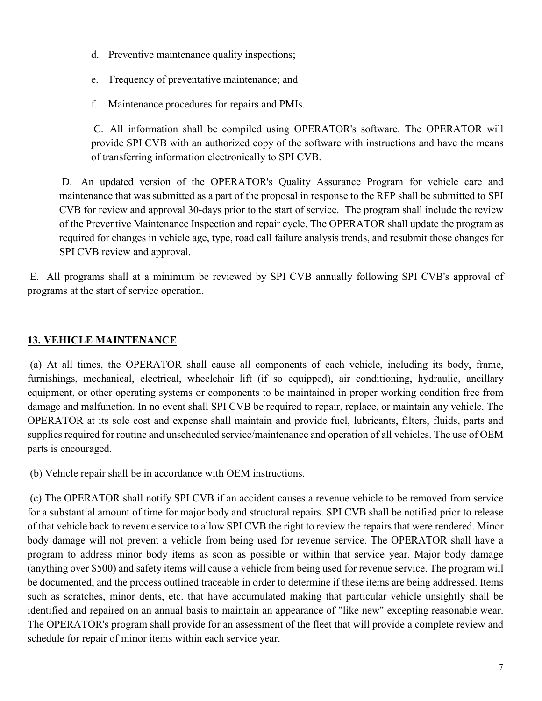- d. Preventive maintenance quality inspections;
- e. Frequency of preventative maintenance; and
- f. Maintenance procedures for repairs and PMIs.

C. All information shall be compiled using OPERATOR's software. The OPERATOR will provide SPI CVB with an authorized copy of the software with instructions and have the means of transferring information electronically to SPI CVB.

D. An updated version of the OPERATOR's Quality Assurance Program for vehicle care and maintenance that was submitted as a part of the proposal in response to the RFP shall be submitted to SPI CVB for review and approval 30-days prior to the start of service. The program shall include the review of the Preventive Maintenance Inspection and repair cycle. The OPERATOR shall update the program as required for changes in vehicle age, type, road call failure analysis trends, and resubmit those changes for SPI CVB review and approval.

E. All programs shall at a minimum be reviewed by SPI CVB annually following SPI CVB's approval of programs at the start of service operation.

### **13. VEHICLE MAINTENANCE**

(a) At all times, the OPERATOR shall cause all components of each vehicle, including its body, frame, furnishings, mechanical, electrical, wheelchair lift (if so equipped), air conditioning, hydraulic, ancillary equipment, or other operating systems or components to be maintained in proper working condition free from damage and malfunction. In no event shall SPI CVB be required to repair, replace, or maintain any vehicle. The OPERATOR at its sole cost and expense shall maintain and provide fuel, lubricants, filters, fluids, parts and supplies required for routine and unscheduled service/maintenance and operation of all vehicles. The use of OEM parts is encouraged.

(b) Vehicle repair shall be in accordance with OEM instructions.

(c) The OPERATOR shall notify SPI CVB if an accident causes a revenue vehicle to be removed from service for a substantial amount of time for major body and structural repairs. SPI CVB shall be notified prior to release of that vehicle back to revenue service to allow SPI CVB the right to review the repairs that were rendered. Minor body damage will not prevent a vehicle from being used for revenue service. The OPERATOR shall have a program to address minor body items as soon as possible or within that service year. Major body damage (anything over \$500) and safety items will cause a vehicle from being used for revenue service. The program will be documented, and the process outlined traceable in order to determine if these items are being addressed. Items such as scratches, minor dents, etc. that have accumulated making that particular vehicle unsightly shall be identified and repaired on an annual basis to maintain an appearance of "like new" excepting reasonable wear. The OPERATOR's program shall provide for an assessment of the fleet that will provide a complete review and schedule for repair of minor items within each service year.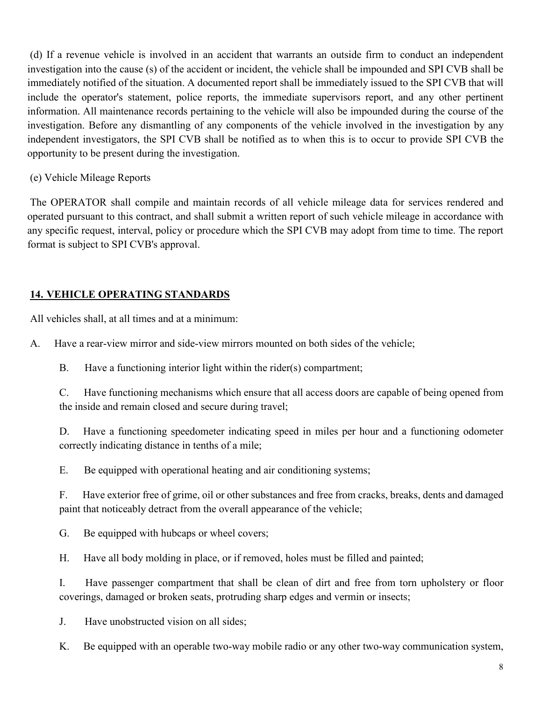(d) If a revenue vehicle is involved in an accident that warrants an outside firm to conduct an independent investigation into the cause (s) of the accident or incident, the vehicle shall be impounded and SPI CVB shall be immediately notified of the situation. A documented report shall be immediately issued to the SPI CVB that will include the operator's statement, police reports, the immediate supervisors report, and any other pertinent information. All maintenance records pertaining to the vehicle will also be impounded during the course of the investigation. Before any dismantling of any components of the vehicle involved in the investigation by any independent investigators, the SPI CVB shall be notified as to when this is to occur to provide SPI CVB the opportunity to be present during the investigation.

### (e) Vehicle Mileage Reports

The OPERATOR shall compile and maintain records of all vehicle mileage data for services rendered and operated pursuant to this contract, and shall submit a written report of such vehicle mileage in accordance with any specific request, interval, policy or procedure which the SPI CVB may adopt from time to time. The report format is subject to SPI CVB's approval.

### **14. VEHICLE OPERATING STANDARDS**

All vehicles shall, at all times and at a minimum:

A. Have a rear-view mirror and side-view mirrors mounted on both sides of the vehicle;

B. Have a functioning interior light within the rider(s) compartment;

C. Have functioning mechanisms which ensure that all access doors are capable of being opened from the inside and remain closed and secure during travel;

D. Have a functioning speedometer indicating speed in miles per hour and a functioning odometer correctly indicating distance in tenths of a mile;

E. Be equipped with operational heating and air conditioning systems;

F. Have exterior free of grime, oil or other substances and free from cracks, breaks, dents and damaged paint that noticeably detract from the overall appearance of the vehicle;

G. Be equipped with hubcaps or wheel covers;

H. Have all body molding in place, or if removed, holes must be filled and painted;

I. Have passenger compartment that shall be clean of dirt and free from torn upholstery or floor coverings, damaged or broken seats, protruding sharp edges and vermin or insects;

J. Have unobstructed vision on all sides;

K. Be equipped with an operable two-way mobile radio or any other two-way communication system,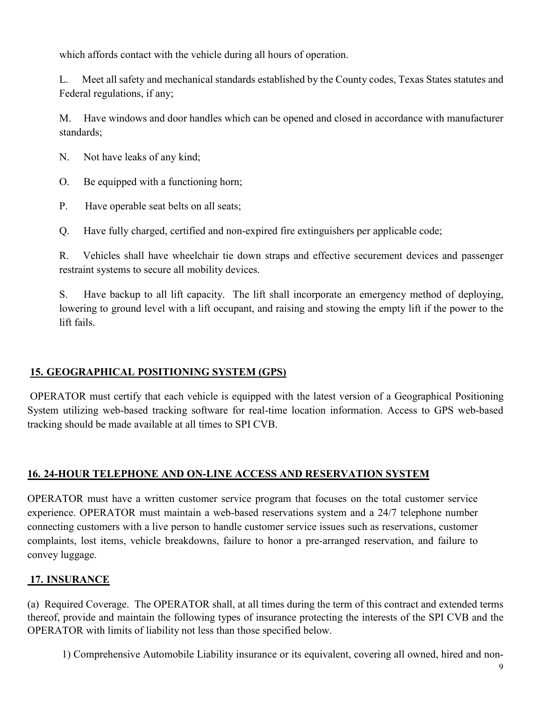which affords contact with the vehicle during all hours of operation.

L. Meet all safety and mechanical standards established by the County codes, Texas States statutes and Federal regulations, if any;

M. Have windows and door handles which can be opened and closed in accordance with manufacturer standards;

N. Not have leaks of any kind;

O. Be equipped with a functioning horn;

P. Have operable seat belts on all seats;

Q. Have fully charged, certified and non-expired fire extinguishers per applicable code;

R. Vehicles shall have wheelchair tie down straps and effective securement devices and passenger restraint systems to secure all mobility devices.

S. Have backup to all lift capacity. The lift shall incorporate an emergency method of deploying, lowering to ground level with a lift occupant, and raising and stowing the empty lift if the power to the lift fails.

### **15. GEOGRAPHICAL POSITIONING SYSTEM (GPS)**

OPERATOR must certify that each vehicle is equipped with the latest version of a Geographical Positioning System utilizing web-based tracking software for real-time location information. Access to GPS web-based tracking should be made available at all times to SPI CVB.

### **16. 24-HOUR TELEPHONE AND ON-LINE ACCESS AND RESERVATION SYSTEM**

OPERATOR must have a written customer service program that focuses on the total customer service experience. OPERATOR must maintain a web-based reservations system and a 24/7 telephone number connecting customers with a live person to handle customer service issues such as reservations, customer complaints, lost items, vehicle breakdowns, failure to honor a pre-arranged reservation, and failure to convey luggage.

### **17. INSURANCE**

(a) Required Coverage. The OPERATOR shall, at all times during the term of this contract and extended terms thereof, provide and maintain the following types of insurance protecting the interests of the SPI CVB and the OPERATOR with limits of liability not less than those specified below.

1) Comprehensive Automobile Liability insurance or its equivalent, covering all owned, hired and non-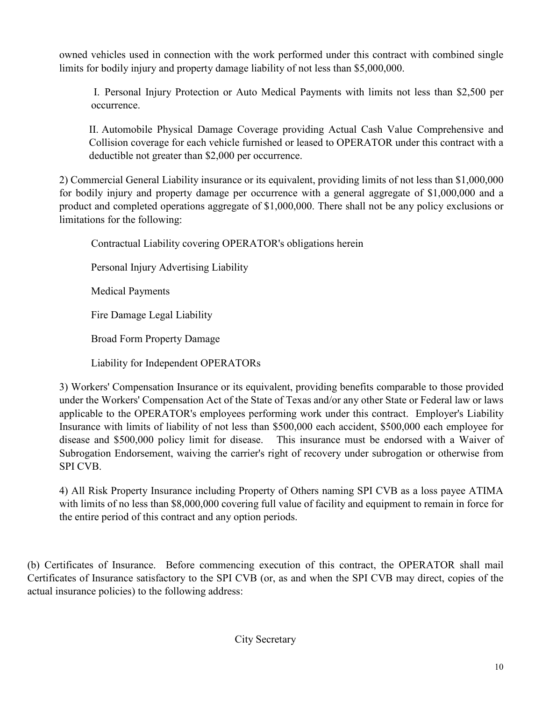owned vehicles used in connection with the work performed under this contract with combined single limits for bodily injury and property damage liability of not less than \$5,000,000.

I. Personal Injury Protection or Auto Medical Payments with limits not less than \$2,500 per occurrence.

II. Automobile Physical Damage Coverage providing Actual Cash Value Comprehensive and Collision coverage for each vehicle furnished or leased to OPERATOR under this contract with a deductible not greater than \$2,000 per occurrence.

2) Commercial General Liability insurance or its equivalent, providing limits of not less than \$1,000,000 for bodily injury and property damage per occurrence with a general aggregate of \$1,000,000 and a product and completed operations aggregate of \$1,000,000. There shall not be any policy exclusions or limitations for the following:

Contractual Liability covering OPERATOR's obligations herein

Personal Injury Advertising Liability

Medical Payments

Fire Damage Legal Liability

Broad Form Property Damage

Liability for Independent OPERATORs

3) Workers' Compensation Insurance or its equivalent, providing benefits comparable to those provided under the Workers' Compensation Act of the State of Texas and/or any other State or Federal law or laws applicable to the OPERATOR's employees performing work under this contract. Employer's Liability Insurance with limits of liability of not less than \$500,000 each accident, \$500,000 each employee for disease and \$500,000 policy limit for disease. This insurance must be endorsed with a Waiver of Subrogation Endorsement, waiving the carrier's right of recovery under subrogation or otherwise from SPI CVB.

4) All Risk Property Insurance including Property of Others naming SPI CVB as a loss payee ATIMA with limits of no less than \$8,000,000 covering full value of facility and equipment to remain in force for the entire period of this contract and any option periods.

(b) Certificates of Insurance. Before commencing execution of this contract, the OPERATOR shall mail Certificates of Insurance satisfactory to the SPI CVB (or, as and when the SPI CVB may direct, copies of the actual insurance policies) to the following address: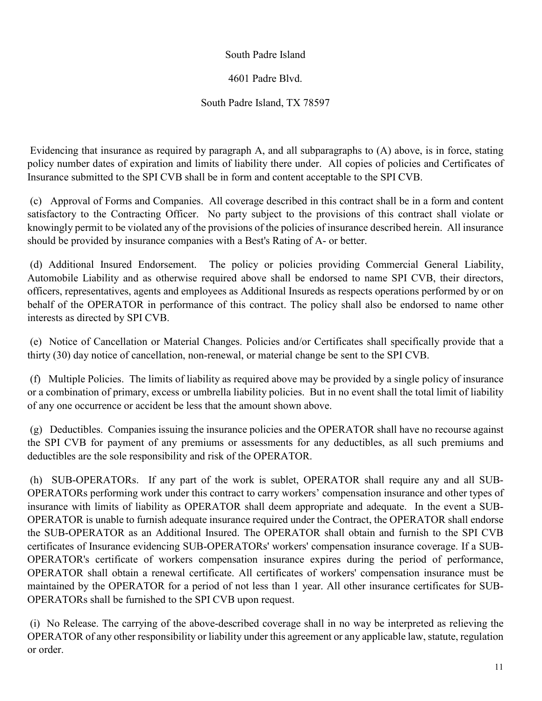### South Padre Island

### 4601 Padre Blvd.

### South Padre Island, TX 78597

Evidencing that insurance as required by paragraph A, and all subparagraphs to (A) above, is in force, stating policy number dates of expiration and limits of liability there under. All copies of policies and Certificates of Insurance submitted to the SPI CVB shall be in form and content acceptable to the SPI CVB.

(c) Approval of Forms and Companies. All coverage described in this contract shall be in a form and content satisfactory to the Contracting Officer. No party subject to the provisions of this contract shall violate or knowingly permit to be violated any of the provisions of the policies of insurance described herein. All insurance should be provided by insurance companies with a Best's Rating of A- or better.

(d) Additional Insured Endorsement. The policy or policies providing Commercial General Liability, Automobile Liability and as otherwise required above shall be endorsed to name SPI CVB, their directors, officers, representatives, agents and employees as Additional Insureds as respects operations performed by or on behalf of the OPERATOR in performance of this contract. The policy shall also be endorsed to name other interests as directed by SPI CVB.

(e) Notice of Cancellation or Material Changes. Policies and/or Certificates shall specifically provide that a thirty (30) day notice of cancellation, non-renewal, or material change be sent to the SPI CVB.

(f) Multiple Policies. The limits of liability as required above may be provided by a single policy of insurance or a combination of primary, excess or umbrella liability policies. But in no event shall the total limit of liability of any one occurrence or accident be less that the amount shown above.

(g) Deductibles. Companies issuing the insurance policies and the OPERATOR shall have no recourse against the SPI CVB for payment of any premiums or assessments for any deductibles, as all such premiums and deductibles are the sole responsibility and risk of the OPERATOR.

(h) SUB-OPERATORs. If any part of the work is sublet, OPERATOR shall require any and all SUB-OPERATORs performing work under this contract to carry workers' compensation insurance and other types of insurance with limits of liability as OPERATOR shall deem appropriate and adequate. In the event a SUB-OPERATOR is unable to furnish adequate insurance required under the Contract, the OPERATOR shall endorse the SUB-OPERATOR as an Additional Insured. The OPERATOR shall obtain and furnish to the SPI CVB certificates of Insurance evidencing SUB-OPERATORs' workers' compensation insurance coverage. If a SUB-OPERATOR's certificate of workers compensation insurance expires during the period of performance, OPERATOR shall obtain a renewal certificate. All certificates of workers' compensation insurance must be maintained by the OPERATOR for a period of not less than 1 year. All other insurance certificates for SUB-OPERATORs shall be furnished to the SPI CVB upon request.

(i) No Release. The carrying of the above-described coverage shall in no way be interpreted as relieving the OPERATOR of any other responsibility or liability under this agreement or any applicable law, statute, regulation or order.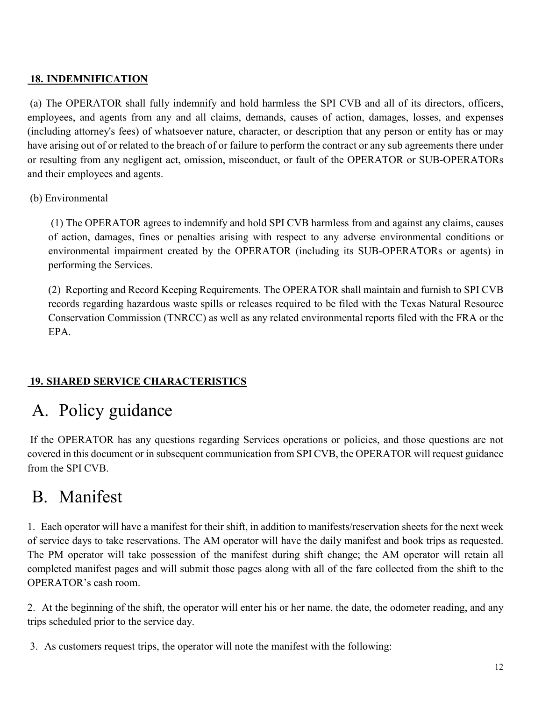### **18. INDEMNIFICATION**

(a) The OPERATOR shall fully indemnify and hold harmless the SPI CVB and all of its directors, officers, employees, and agents from any and all claims, demands, causes of action, damages, losses, and expenses (including attorney's fees) of whatsoever nature, character, or description that any person or entity has or may have arising out of or related to the breach of or failure to perform the contract or any sub agreements there under or resulting from any negligent act, omission, misconduct, or fault of the OPERATOR or SUB-OPERATORs and their employees and agents.

### (b) Environmental

(1) The OPERATOR agrees to indemnify and hold SPI CVB harmless from and against any claims, causes of action, damages, fines or penalties arising with respect to any adverse environmental conditions or environmental impairment created by the OPERATOR (including its SUB-OPERATORs or agents) in performing the Services.

(2) Reporting and Record Keeping Requirements. The OPERATOR shall maintain and furnish to SPI CVB records regarding hazardous waste spills or releases required to be filed with the Texas Natural Resource Conservation Commission (TNRCC) as well as any related environmental reports filed with the FRA or the EPA.

### **19. SHARED SERVICE CHARACTERISTICS**

## A. Policy guidance

If the OPERATOR has any questions regarding Services operations or policies, and those questions are not covered in this document or in subsequent communication from SPI CVB, the OPERATOR will request guidance from the SPI CVB.

## B. Manifest

1. Each operator will have a manifest for their shift, in addition to manifests/reservation sheets for the next week of service days to take reservations. The AM operator will have the daily manifest and book trips as requested. The PM operator will take possession of the manifest during shift change; the AM operator will retain all completed manifest pages and will submit those pages along with all of the fare collected from the shift to the OPERATOR's cash room.

2. At the beginning of the shift, the operator will enter his or her name, the date, the odometer reading, and any trips scheduled prior to the service day.

3. As customers request trips, the operator will note the manifest with the following: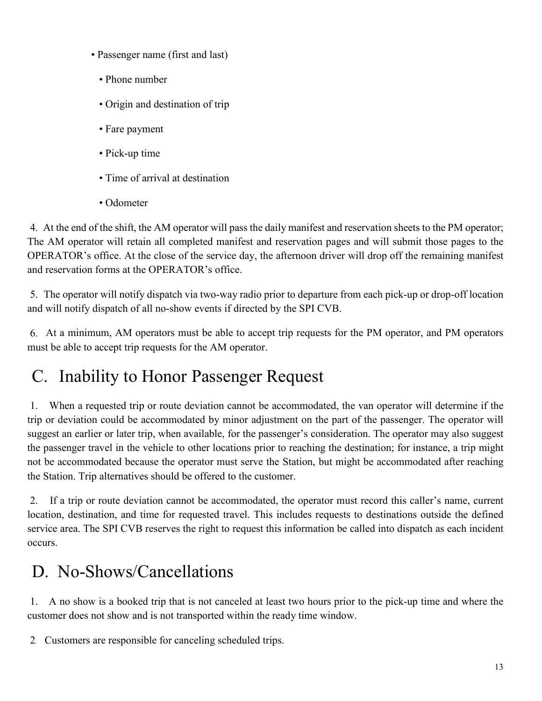- Passenger name (first and last)
	- Phone number
	- Origin and destination of trip
	- Fare payment
	- Pick-up time
	- Time of arrival at destination
	- Odometer

4. At the end of the shift, the AM operator will pass the daily manifest and reservation sheets to the PM operator; The AM operator will retain all completed manifest and reservation pages and will submit those pages to the OPERATOR's office. At the close of the service day, the afternoon driver will drop off the remaining manifest and reservation forms at the OPERATOR's office.

5. The operator will notify dispatch via two-way radio prior to departure from each pick-up or drop-off location and will notify dispatch of all no-show events if directed by the SPI CVB.

6. At a minimum, AM operators must be able to accept trip requests for the PM operator, and PM operators must be able to accept trip requests for the AM operator.

# C. Inability to Honor Passenger Request

1. When a requested trip or route deviation cannot be accommodated, the van operator will determine if the trip or deviation could be accommodated by minor adjustment on the part of the passenger. The operator will suggest an earlier or later trip, when available, for the passenger's consideration. The operator may also suggest the passenger travel in the vehicle to other locations prior to reaching the destination; for instance, a trip might not be accommodated because the operator must serve the Station, but might be accommodated after reaching the Station. Trip alternatives should be offered to the customer.

2. If a trip or route deviation cannot be accommodated, the operator must record this caller's name, current location, destination, and time for requested travel. This includes requests to destinations outside the defined service area. The SPI CVB reserves the right to request this information be called into dispatch as each incident occurs.

## D. No-Shows/Cancellations

1. A no show is a booked trip that is not canceled at least two hours prior to the pick-up time and where the customer does not show and is not transported within the ready time window.

2. Customers are responsible for canceling scheduled trips.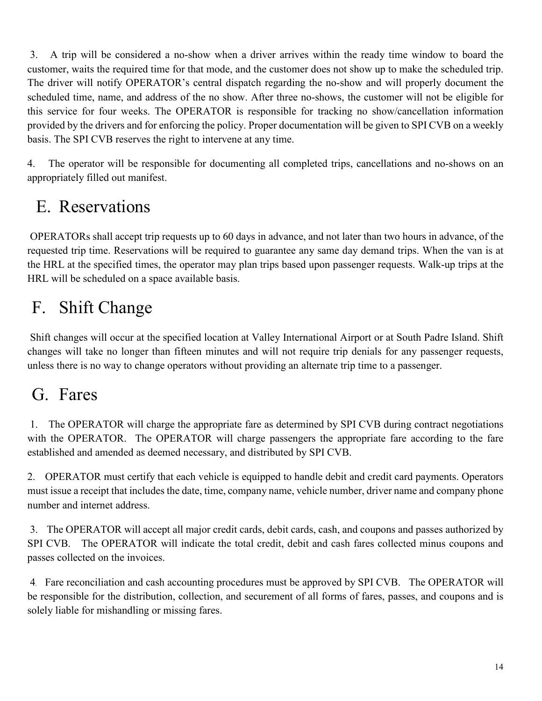3. A trip will be considered a no-show when a driver arrives within the ready time window to board the customer, waits the required time for that mode, and the customer does not show up to make the scheduled trip. The driver will notify OPERATOR's central dispatch regarding the no-show and will properly document the scheduled time, name, and address of the no show. After three no-shows, the customer will not be eligible for this service for four weeks. The OPERATOR is responsible for tracking no show/cancellation information provided by the drivers and for enforcing the policy. Proper documentation will be given to SPI CVB on a weekly basis. The SPI CVB reserves the right to intervene at any time.

4. The operator will be responsible for documenting all completed trips, cancellations and no-shows on an appropriately filled out manifest.

# E. Reservations

OPERATORs shall accept trip requests up to 60 days in advance, and not later than two hours in advance, of the requested trip time. Reservations will be required to guarantee any same day demand trips. When the van is at the HRL at the specified times, the operator may plan trips based upon passenger requests. Walk-up trips at the HRL will be scheduled on a space available basis.

# F. Shift Change

Shift changes will occur at the specified location at Valley International Airport or at South Padre Island. Shift changes will take no longer than fifteen minutes and will not require trip denials for any passenger requests, unless there is no way to change operators without providing an alternate trip time to a passenger.

## G. Fares

1. The OPERATOR will charge the appropriate fare as determined by SPI CVB during contract negotiations with the OPERATOR. The OPERATOR will charge passengers the appropriate fare according to the fare established and amended as deemed necessary, and distributed by SPI CVB.

2. OPERATOR must certify that each vehicle is equipped to handle debit and credit card payments. Operators must issue a receipt that includes the date, time, company name, vehicle number, driver name and company phone number and internet address.

3. The OPERATOR will accept all major credit cards, debit cards, cash, and coupons and passes authorized by SPI CVB. The OPERATOR will indicate the total credit, debit and cash fares collected minus coupons and passes collected on the invoices.

4. Fare reconciliation and cash accounting procedures must be approved by SPI CVB. The OPERATOR will be responsible for the distribution, collection, and securement of all forms of fares, passes, and coupons and is solely liable for mishandling or missing fares.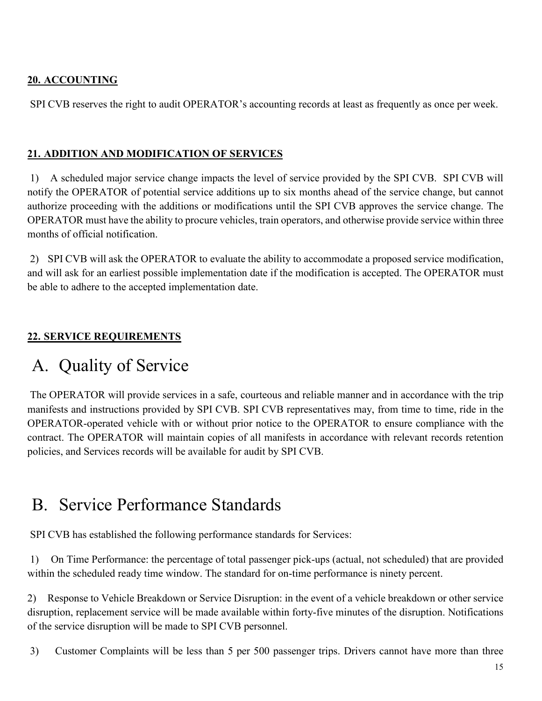### **20. ACCOUNTING**

SPI CVB reserves the right to audit OPERATOR's accounting records at least as frequently as once per week.

### **21. ADDITION AND MODIFICATION OF SERVICES**

1) A scheduled major service change impacts the level of service provided by the SPI CVB. SPI CVB will notify the OPERATOR of potential service additions up to six months ahead of the service change, but cannot authorize proceeding with the additions or modifications until the SPI CVB approves the service change. The OPERATOR must have the ability to procure vehicles, train operators, and otherwise provide service within three months of official notification.

2) SPI CVB will ask the OPERATOR to evaluate the ability to accommodate a proposed service modification, and will ask for an earliest possible implementation date if the modification is accepted. The OPERATOR must be able to adhere to the accepted implementation date.

### **22. SERVICE REQUIREMENTS**

## A. Quality of Service

The OPERATOR will provide services in a safe, courteous and reliable manner and in accordance with the trip manifests and instructions provided by SPI CVB. SPI CVB representatives may, from time to time, ride in the OPERATOR-operated vehicle with or without prior notice to the OPERATOR to ensure compliance with the contract. The OPERATOR will maintain copies of all manifests in accordance with relevant records retention policies, and Services records will be available for audit by SPI CVB.

## B. Service Performance Standards

SPI CVB has established the following performance standards for Services:

1) On Time Performance: the percentage of total passenger pick-ups (actual, not scheduled) that are provided within the scheduled ready time window. The standard for on-time performance is ninety percent.

2) Response to Vehicle Breakdown or Service Disruption: in the event of a vehicle breakdown or other service disruption, replacement service will be made available within forty-five minutes of the disruption. Notifications of the service disruption will be made to SPI CVB personnel.

3) Customer Complaints will be less than 5 per 500 passenger trips. Drivers cannot have more than three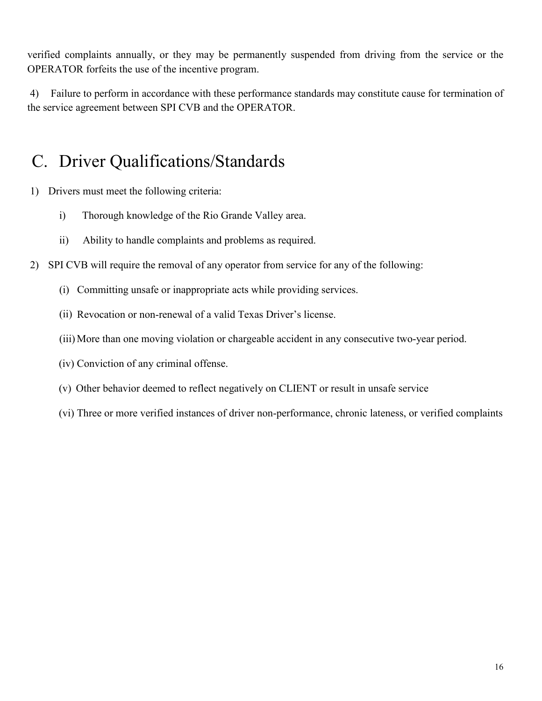verified complaints annually, or they may be permanently suspended from driving from the service or the OPERATOR forfeits the use of the incentive program.

4) Failure to perform in accordance with these performance standards may constitute cause for termination of the service agreement between SPI CVB and the OPERATOR.

## C. Driver Qualifications/Standards

- 1) Drivers must meet the following criteria:
	- i) Thorough knowledge of the Rio Grande Valley area.
	- ii) Ability to handle complaints and problems as required.
- 2) SPI CVB will require the removal of any operator from service for any of the following:
	- (i) Committing unsafe or inappropriate acts while providing services.
	- (ii) Revocation or non-renewal of a valid Texas Driver's license.
	- (iii)More than one moving violation or chargeable accident in any consecutive two-year period.
	- (iv) Conviction of any criminal offense.
	- (v) Other behavior deemed to reflect negatively on CLIENT or result in unsafe service
	- (vi) Three or more verified instances of driver non-performance, chronic lateness, or verified complaints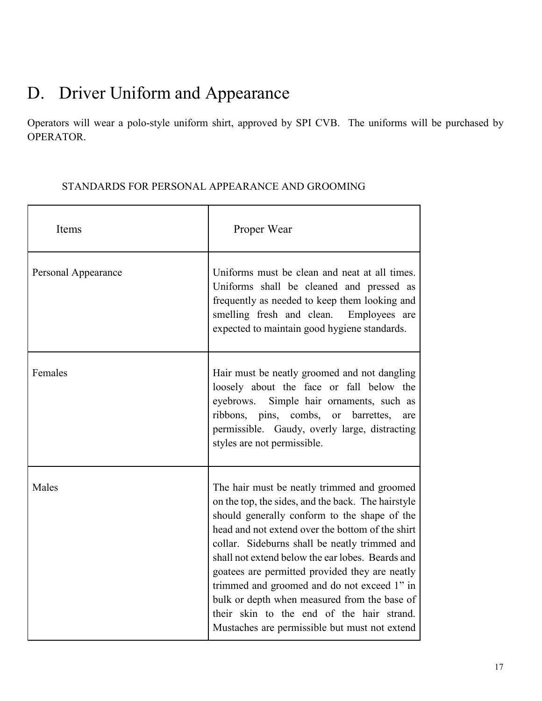# D. Driver Uniform and Appearance

Operators will wear a polo-style uniform shirt, approved by SPI CVB. The uniforms will be purchased by OPERATOR.

| Items               | Proper Wear                                                                                                                                                                                                                                                                                                                                                                                                                                                                                                                                               |  |
|---------------------|-----------------------------------------------------------------------------------------------------------------------------------------------------------------------------------------------------------------------------------------------------------------------------------------------------------------------------------------------------------------------------------------------------------------------------------------------------------------------------------------------------------------------------------------------------------|--|
| Personal Appearance | Uniforms must be clean and neat at all times.<br>Uniforms shall be cleaned and pressed as<br>frequently as needed to keep them looking and<br>smelling fresh and clean. Employees are<br>expected to maintain good hygiene standards.                                                                                                                                                                                                                                                                                                                     |  |
| Females             | Hair must be neatly groomed and not dangling<br>loosely about the face or fall below the<br>eyebrows.<br>Simple hair ornaments, such as<br>ribbons, pins, combs,<br>barrettes,<br><b>or</b><br>are<br>permissible. Gaudy, overly large, distracting<br>styles are not permissible.                                                                                                                                                                                                                                                                        |  |
| Males               | The hair must be neatly trimmed and groomed<br>on the top, the sides, and the back. The hairstyle<br>should generally conform to the shape of the<br>head and not extend over the bottom of the shirt<br>collar. Sideburns shall be neatly trimmed and<br>shall not extend below the ear lobes. Beards and<br>goatees are permitted provided they are neatly<br>trimmed and groomed and do not exceed 1" in<br>bulk or depth when measured from the base of<br>their skin to the end of the hair strand.<br>Mustaches are permissible but must not extend |  |

### STANDARDS FOR PERSONAL APPEARANCE AND GROOMING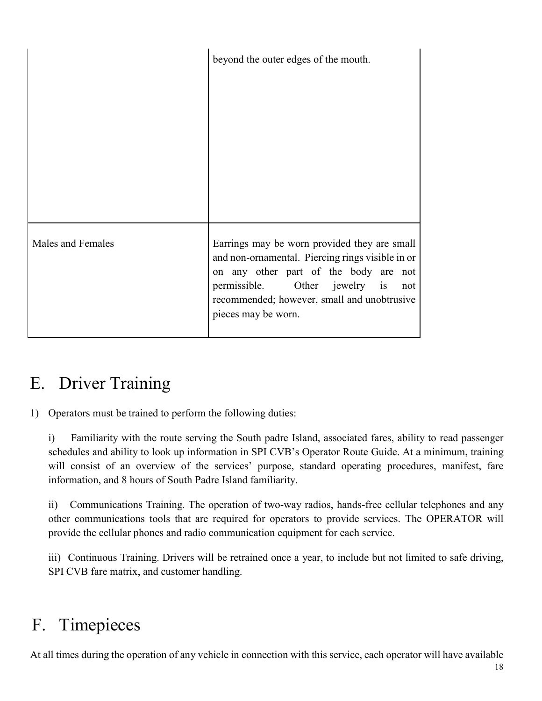|                   | beyond the outer edges of the mouth.                                                                                                                                                                                                                    |
|-------------------|---------------------------------------------------------------------------------------------------------------------------------------------------------------------------------------------------------------------------------------------------------|
| Males and Females | Earrings may be worn provided they are small<br>and non-ornamental. Piercing rings visible in or<br>on any other part of the body are not<br>permissible. Other jewelry is<br>not<br>recommended; however, small and unobtrusive<br>pieces may be worn. |

## E. Driver Training

1) Operators must be trained to perform the following duties:

i) Familiarity with the route serving the South padre Island, associated fares, ability to read passenger schedules and ability to look up information in SPI CVB's Operator Route Guide. At a minimum, training will consist of an overview of the services' purpose, standard operating procedures, manifest, fare information, and 8 hours of South Padre Island familiarity.

ii) Communications Training. The operation of two-way radios, hands-free cellular telephones and any other communications tools that are required for operators to provide services. The OPERATOR will provide the cellular phones and radio communication equipment for each service.

iii) Continuous Training. Drivers will be retrained once a year, to include but not limited to safe driving, SPI CVB fare matrix, and customer handling.

## F. Timepieces

At all times during the operation of any vehicle in connection with this service, each operator will have available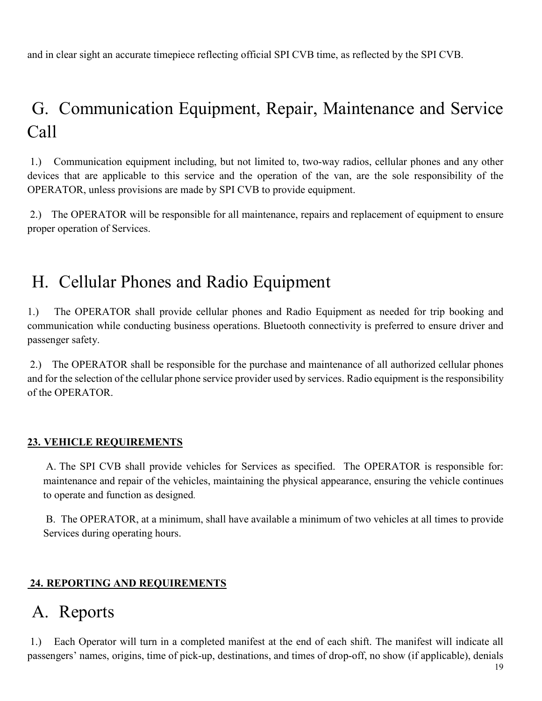and in clear sight an accurate timepiece reflecting official SPI CVB time, as reflected by the SPI CVB.

# G. Communication Equipment, Repair, Maintenance and Service Call

1.) Communication equipment including, but not limited to, two-way radios, cellular phones and any other devices that are applicable to this service and the operation of the van, are the sole responsibility of the OPERATOR, unless provisions are made by SPI CVB to provide equipment.

2.) The OPERATOR will be responsible for all maintenance, repairs and replacement of equipment to ensure proper operation of Services.

## H. Cellular Phones and Radio Equipment

1.) The OPERATOR shall provide cellular phones and Radio Equipment as needed for trip booking and communication while conducting business operations. Bluetooth connectivity is preferred to ensure driver and passenger safety.

2.) The OPERATOR shall be responsible for the purchase and maintenance of all authorized cellular phones and for the selection of the cellular phone service provider used by services. Radio equipment is the responsibility of the OPERATOR.

### **23. VEHICLE REQUIREMENTS**

A. The SPI CVB shall provide vehicles for Services as specified. The OPERATOR is responsible for: maintenance and repair of the vehicles, maintaining the physical appearance, ensuring the vehicle continues to operate and function as designed.

B. The OPERATOR, at a minimum, shall have available a minimum of two vehicles at all times to provide Services during operating hours.

### **24. REPORTING AND REQUIREMENTS**

### A. Reports

1.) Each Operator will turn in a completed manifest at the end of each shift. The manifest will indicate all passengers' names, origins, time of pick-up, destinations, and times of drop-off, no show (if applicable), denials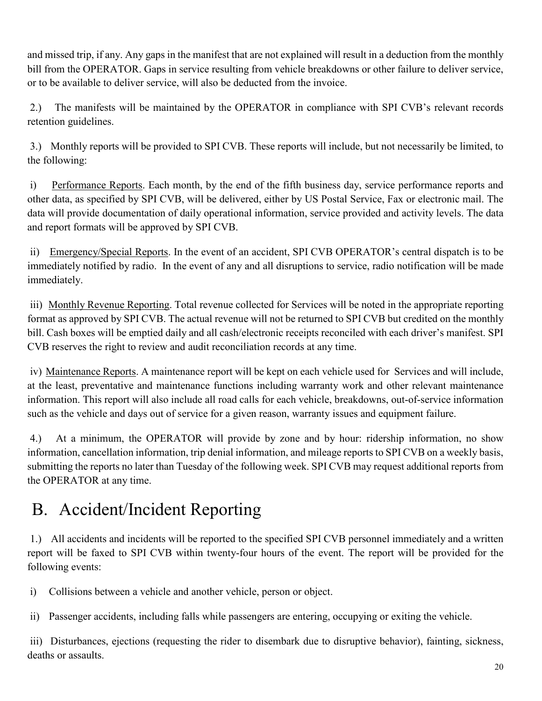and missed trip, if any. Any gaps in the manifest that are not explained will result in a deduction from the monthly bill from the OPERATOR. Gaps in service resulting from vehicle breakdowns or other failure to deliver service, or to be available to deliver service, will also be deducted from the invoice.

2.) The manifests will be maintained by the OPERATOR in compliance with SPI CVB's relevant records retention guidelines.

3.) Monthly reports will be provided to SPI CVB. These reports will include, but not necessarily be limited, to the following:

i) Performance Reports. Each month, by the end of the fifth business day, service performance reports and other data, as specified by SPI CVB, will be delivered, either by US Postal Service, Fax or electronic mail. The data will provide documentation of daily operational information, service provided and activity levels. The data and report formats will be approved by SPI CVB.

ii) Emergency/Special Reports. In the event of an accident, SPI CVB OPERATOR's central dispatch is to be immediately notified by radio. In the event of any and all disruptions to service, radio notification will be made immediately.

iii) Monthly Revenue Reporting. Total revenue collected for Services will be noted in the appropriate reporting format as approved by SPI CVB. The actual revenue will not be returned to SPI CVB but credited on the monthly bill. Cash boxes will be emptied daily and all cash/electronic receipts reconciled with each driver's manifest. SPI CVB reserves the right to review and audit reconciliation records at any time.

iv) Maintenance Reports. A maintenance report will be kept on each vehicle used for Services and will include, at the least, preventative and maintenance functions including warranty work and other relevant maintenance information. This report will also include all road calls for each vehicle, breakdowns, out-of-service information such as the vehicle and days out of service for a given reason, warranty issues and equipment failure.

4.) At a minimum, the OPERATOR will provide by zone and by hour: ridership information, no show information, cancellation information, trip denial information, and mileage reports to SPI CVB on a weekly basis, submitting the reports no later than Tuesday of the following week. SPI CVB may request additional reports from the OPERATOR at any time.

# B. Accident/Incident Reporting

1.) All accidents and incidents will be reported to the specified SPI CVB personnel immediately and a written report will be faxed to SPI CVB within twenty-four hours of the event. The report will be provided for the following events:

i) Collisions between a vehicle and another vehicle, person or object.

ii) Passenger accidents, including falls while passengers are entering, occupying or exiting the vehicle.

iii) Disturbances, ejections (requesting the rider to disembark due to disruptive behavior), fainting, sickness, deaths or assaults.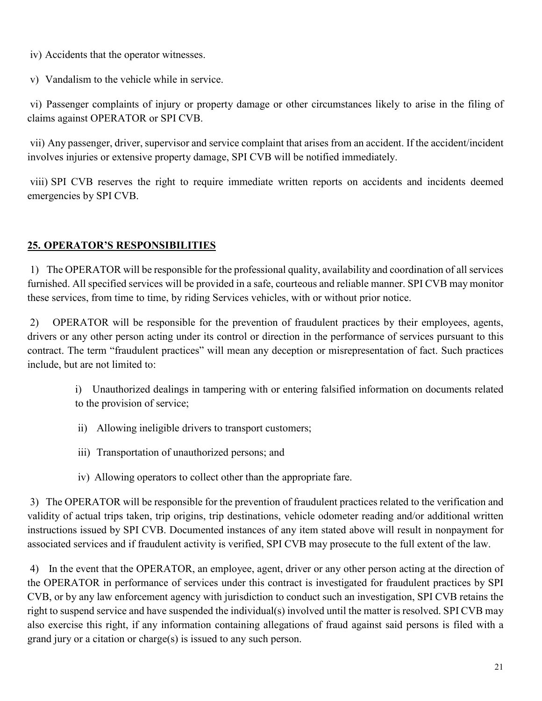iv) Accidents that the operator witnesses.

v) Vandalism to the vehicle while in service.

vi) Passenger complaints of injury or property damage or other circumstances likely to arise in the filing of claims against OPERATOR or SPI CVB.

vii) Any passenger, driver, supervisor and service complaint that arises from an accident. If the accident/incident involves injuries or extensive property damage, SPI CVB will be notified immediately.

viii) SPI CVB reserves the right to require immediate written reports on accidents and incidents deemed emergencies by SPI CVB.

### **25. OPERATOR'S RESPONSIBILITIES**

1) The OPERATOR will be responsible for the professional quality, availability and coordination of all services furnished. All specified services will be provided in a safe, courteous and reliable manner. SPI CVB may monitor these services, from time to time, by riding Services vehicles, with or without prior notice.

2) OPERATOR will be responsible for the prevention of fraudulent practices by their employees, agents, drivers or any other person acting under its control or direction in the performance of services pursuant to this contract. The term "fraudulent practices" will mean any deception or misrepresentation of fact. Such practices include, but are not limited to:

i) Unauthorized dealings in tampering with or entering falsified information on documents related to the provision of service;

- ii) Allowing ineligible drivers to transport customers;
- iii) Transportation of unauthorized persons; and
- iv) Allowing operators to collect other than the appropriate fare.

3) The OPERATOR will be responsible for the prevention of fraudulent practices related to the verification and validity of actual trips taken, trip origins, trip destinations, vehicle odometer reading and/or additional written instructions issued by SPI CVB. Documented instances of any item stated above will result in nonpayment for associated services and if fraudulent activity is verified, SPI CVB may prosecute to the full extent of the law.

4) In the event that the OPERATOR, an employee, agent, driver or any other person acting at the direction of the OPERATOR in performance of services under this contract is investigated for fraudulent practices by SPI CVB, or by any law enforcement agency with jurisdiction to conduct such an investigation, SPI CVB retains the right to suspend service and have suspended the individual(s) involved until the matter is resolved. SPI CVB may also exercise this right, if any information containing allegations of fraud against said persons is filed with a grand jury or a citation or charge(s) is issued to any such person.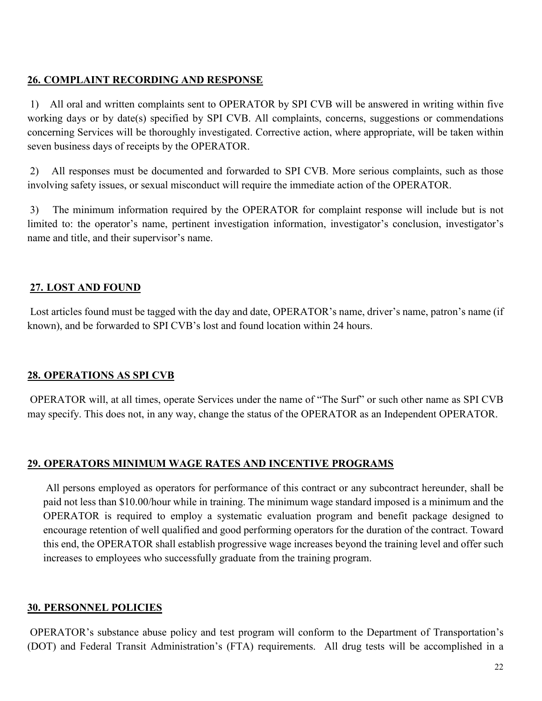### **26. COMPLAINT RECORDING AND RESPONSE**

1) All oral and written complaints sent to OPERATOR by SPI CVB will be answered in writing within five working days or by date(s) specified by SPI CVB. All complaints, concerns, suggestions or commendations concerning Services will be thoroughly investigated. Corrective action, where appropriate, will be taken within seven business days of receipts by the OPERATOR.

2) All responses must be documented and forwarded to SPI CVB. More serious complaints, such as those involving safety issues, or sexual misconduct will require the immediate action of the OPERATOR.

3) The minimum information required by the OPERATOR for complaint response will include but is not limited to: the operator's name, pertinent investigation information, investigator's conclusion, investigator's name and title, and their supervisor's name.

### **27. LOST AND FOUND**

Lost articles found must be tagged with the day and date, OPERATOR's name, driver's name, patron's name (if known), and be forwarded to SPI CVB's lost and found location within 24 hours.

### **28. OPERATIONS AS SPI CVB**

OPERATOR will, at all times, operate Services under the name of "The Surf" or such other name as SPI CVB may specify. This does not, in any way, change the status of the OPERATOR as an Independent OPERATOR.

### **29. OPERATORS MINIMUM WAGE RATES AND INCENTIVE PROGRAMS**

All persons employed as operators for performance of this contract or any subcontract hereunder, shall be paid not less than \$10.00/hour while in training. The minimum wage standard imposed is a minimum and the OPERATOR is required to employ a systematic evaluation program and benefit package designed to encourage retention of well qualified and good performing operators for the duration of the contract. Toward this end, the OPERATOR shall establish progressive wage increases beyond the training level and offer such increases to employees who successfully graduate from the training program.

### **30. PERSONNEL POLICIES**

OPERATOR's substance abuse policy and test program will conform to the Department of Transportation's (DOT) and Federal Transit Administration's (FTA) requirements. All drug tests will be accomplished in a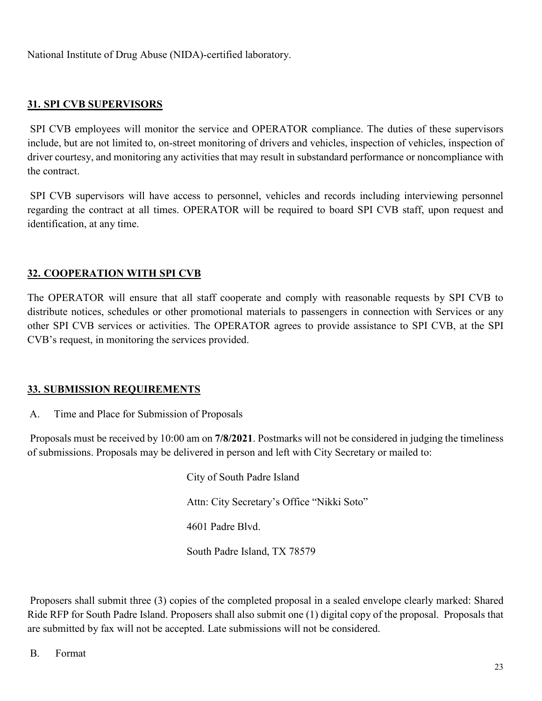National Institute of Drug Abuse (NIDA)-certified laboratory.

### **31. SPI CVB SUPERVISORS**

SPI CVB employees will monitor the service and OPERATOR compliance. The duties of these supervisors include, but are not limited to, on-street monitoring of drivers and vehicles, inspection of vehicles, inspection of driver courtesy, and monitoring any activities that may result in substandard performance or noncompliance with the contract.

SPI CVB supervisors will have access to personnel, vehicles and records including interviewing personnel regarding the contract at all times. OPERATOR will be required to board SPI CVB staff, upon request and identification, at any time.

### **32. COOPERATION WITH SPI CVB**

The OPERATOR will ensure that all staff cooperate and comply with reasonable requests by SPI CVB to distribute notices, schedules or other promotional materials to passengers in connection with Services or any other SPI CVB services or activities. The OPERATOR agrees to provide assistance to SPI CVB, at the SPI CVB's request, in monitoring the services provided.

### **33. SUBMISSION REQUIREMENTS**

A. Time and Place for Submission of Proposals

Proposals must be received by 10:00 am on **7/8/2021**. Postmarks will not be considered in judging the timeliness of submissions. Proposals may be delivered in person and left with City Secretary or mailed to:

> City of South Padre Island Attn: City Secretary's Office "Nikki Soto" 4601 Padre Blvd. South Padre Island, TX 78579

Proposers shall submit three (3) copies of the completed proposal in a sealed envelope clearly marked: Shared Ride RFP for South Padre Island. Proposers shall also submit one (1) digital copy of the proposal. Proposals that are submitted by fax will not be accepted. Late submissions will not be considered.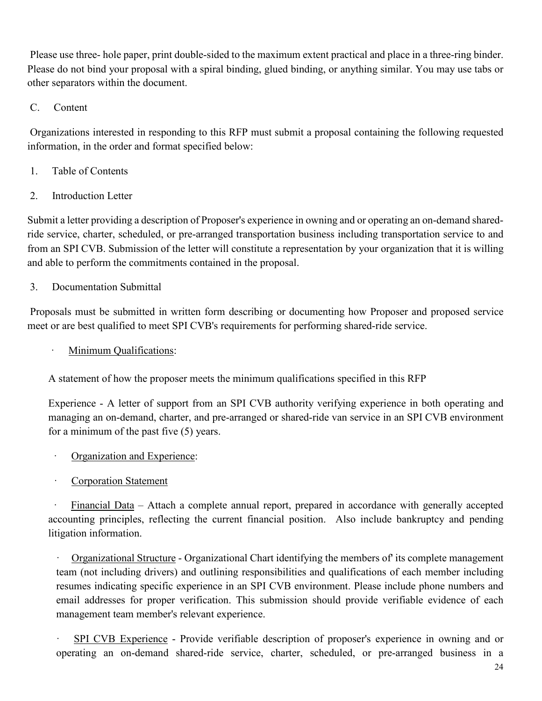Please use three- hole paper, print double-sided to the maximum extent practical and place in a three-ring binder. Please do not bind your proposal with a spiral binding, glued binding, or anything similar. You may use tabs or other separators within the document.

### C. Content

Organizations interested in responding to this RFP must submit a proposal containing the following requested information, in the order and format specified below:

- 1. Table of Contents
- 2. Introduction Letter

Submit a letter providing a description of Proposer's experience in owning and or operating an on-demand sharedride service, charter, scheduled, or pre-arranged transportation business including transportation service to and from an SPI CVB. Submission of the letter will constitute a representation by your organization that it is willing and able to perform the commitments contained in the proposal.

### 3. Documentation Submittal

Proposals must be submitted in written form describing or documenting how Proposer and proposed service meet or are best qualified to meet SPI CVB's requirements for performing shared-ride service.

Minimum Qualifications:

A statement of how the proposer meets the minimum qualifications specified in this RFP

Experience - A letter of support from an SPI CVB authority verifying experience in both operating and managing an on-demand, charter, and pre-arranged or shared-ride van service in an SPI CVB environment for a minimum of the past five (5) years.

- Organization and Experience:
- Corporation Statement

Financial Data – Attach a complete annual report, prepared in accordance with generally accepted accounting principles, reflecting the current financial position. Also include bankruptcy and pending litigation information.

· Organizational Structure - Organizational Chart identifying the members of' its complete management team (not including drivers) and outlining responsibilities and qualifications of each member including resumes indicating specific experience in an SPI CVB environment. Please include phone numbers and email addresses for proper verification. This submission should provide verifiable evidence of each management team member's relevant experience.

· SPI CVB Experience - Provide verifiable description of proposer's experience in owning and or operating an on-demand shared-ride service, charter, scheduled, or pre-arranged business in a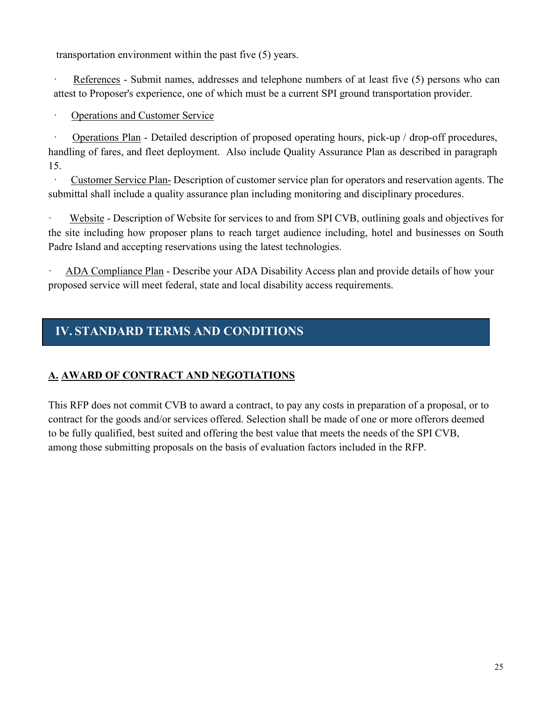transportation environment within the past five (5) years.

References - Submit names, addresses and telephone numbers of at least five (5) persons who can attest to Proposer's experience, one of which must be a current SPI ground transportation provider.

#### · Operations and Customer Service

Operations Plan - Detailed description of proposed operating hours, pick-up / drop-off procedures, handling of fares, and fleet deployment. Also include Quality Assurance Plan as described in paragraph 15.

Customer Service Plan- Description of customer service plan for operators and reservation agents. The submittal shall include a quality assurance plan including monitoring and disciplinary procedures.

Website - Description of Website for services to and from SPI CVB, outlining goals and objectives for the site including how proposer plans to reach target audience including, hotel and businesses on South Padre Island and accepting reservations using the latest technologies.

ADA Compliance Plan - Describe your ADA Disability Access plan and provide details of how your proposed service will meet federal, state and local disability access requirements.

### **IV. STANDARD TERMS AND CONDITIONS**

### **A. AWARD OF CONTRACT AND NEGOTIATIONS**

This RFP does not commit CVB to award a contract, to pay any costs in preparation of a proposal, or to contract for the goods and/or services offered. Selection shall be made of one or more offerors deemed to be fully qualified, best suited and offering the best value that meets the needs of the SPI CVB, among those submitting proposals on the basis of evaluation factors included in the RFP.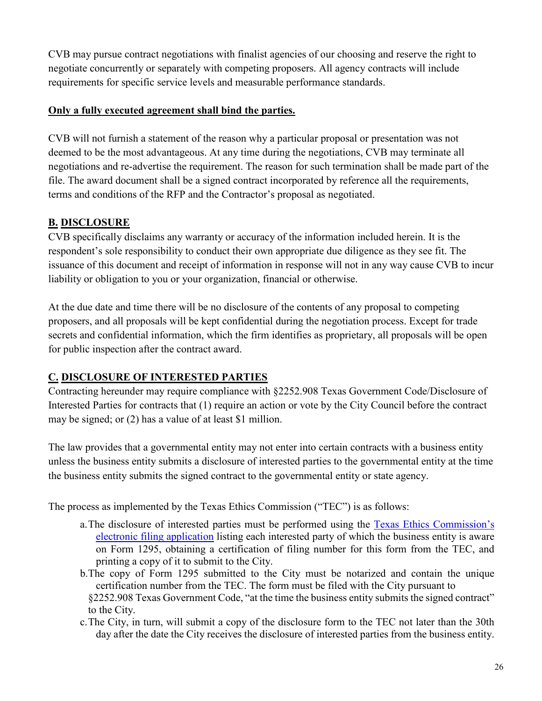CVB may pursue contract negotiations with finalist agencies of our choosing and reserve the right to negotiate concurrently or separately with competing proposers. All agency contracts will include requirements for specific service levels and measurable performance standards.

### **Only a fully executed agreement shall bind the parties.**

CVB will not furnish a statement of the reason why a particular proposal or presentation was not deemed to be the most advantageous. At any time during the negotiations, CVB may terminate all negotiations and re-advertise the requirement. The reason for such termination shall be made part of the file. The award document shall be a signed contract incorporated by reference all the requirements, terms and conditions of the RFP and the Contractor's proposal as negotiated.

### **B. DISCLOSURE**

CVB specifically disclaims any warranty or accuracy of the information included herein. It is the respondent's sole responsibility to conduct their own appropriate due diligence as they see fit. The issuance of this document and receipt of information in response will not in any way cause CVB to incur liability or obligation to you or your organization, financial or otherwise.

At the due date and time there will be no disclosure of the contents of any proposal to competing proposers, and all proposals will be kept confidential during the negotiation process. Except for trade secrets and confidential information, which the firm identifies as proprietary, all proposals will be open for public inspection after the contract award.

### **C. DISCLOSURE OF INTERESTED PARTIES**

Contracting hereunder may require compliance with §2252.908 Texas Government Code/Disclosure of Interested Parties for contracts that (1) require an action or vote by the City Council before the contract may be signed; or (2) has a value of at least \$1 million.

The law provides that a governmental entity may not enter into certain contracts with a business entity unless the business entity submits a disclosure of interested parties to the governmental entity at the time the business entity submits the signed contract to the governmental entity or state agency.

The process as implemented by the Texas Ethics Commission ("TEC") is as follows:

- a.The disclosure of interested parties must be performed using the Texas Ethics Commission's electronic filing application listing each interested party of which the business entity is aware on Form 1295, obtaining a certification of filing number for this form from the TEC, and printing a copy of it to submit to the City.
- b.The copy of Form 1295 submitted to the City must be notarized and contain the unique certification number from the TEC. The form must be filed with the City pursuant to §2252.908 Texas Government Code, "at the time the business entity submits the signed contract" to the City.
- c.The City, in turn, will submit a copy of the disclosure form to the TEC not later than the 30th day after the date the City receives the disclosure of interested parties from the business entity.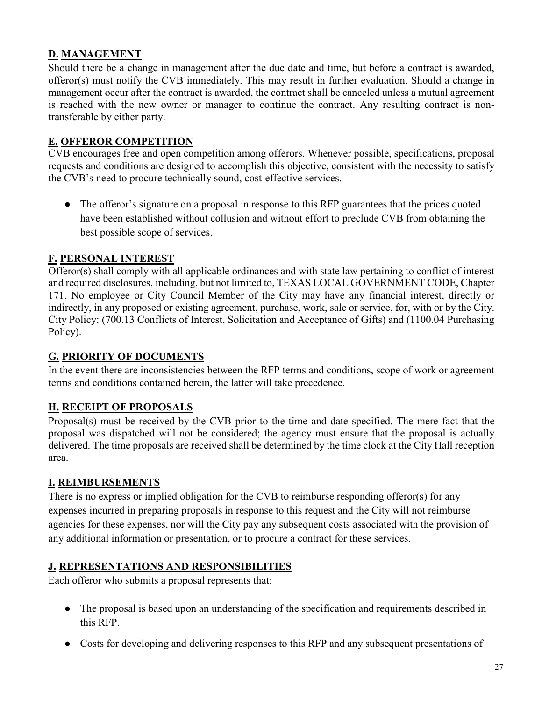### **D. MANAGEMENT**

Should there be a change in management after the due date and time, but before a contract is awarded, offeror(s) must notify the CVB immediately. This may result in further evaluation. Should a change in management occur after the contract is awarded, the contract shall be canceled unless a mutual agreement is reached with the new owner or manager to continue the contract. Any resulting contract is nontransferable by either party.

### **E. OFFEROR COMPETITION**

CVB encourages free and open competition among offerors. Whenever possible, specifications, proposal requests and conditions are designed to accomplish this objective, consistent with the necessity to satisfy the CVB's need to procure technically sound, cost-effective services.

• The offeror's signature on a proposal in response to this RFP guarantees that the prices quoted have been established without collusion and without effort to preclude CVB from obtaining the best possible scope of services.

### **F. PERSONAL INTEREST**

Offeror(s) shall comply with all applicable ordinances and with state law pertaining to conflict of interest and required disclosures, including, but not limited to, TEXAS LOCAL GOVERNMENT CODE, Chapter 171. No employee or City Council Member of the City may have any financial interest, directly or indirectly, in any proposed or existing agreement, purchase, work, sale or service, for, with or by the City. City Policy: (700.13 Conflicts of Interest, Solicitation and Acceptance of Gifts) and (1100.04 Purchasing Policy).

### **G. PRIORITY OF DOCUMENTS**

In the event there are inconsistencies between the RFP terms and conditions, scope of work or agreement terms and conditions contained herein, the latter will take precedence.

### **H. RECEIPT OF PROPOSALS**

Proposal(s) must be received by the CVB prior to the time and date specified. The mere fact that the proposal was dispatched will not be considered; the agency must ensure that the proposal is actually delivered. The time proposals are received shall be determined by the time clock at the City Hall reception area.

### **I. REIMBURSEMENTS**

There is no express or implied obligation for the CVB to reimburse responding offeror(s) for any expenses incurred in preparing proposals in response to this request and the City will not reimburse agencies for these expenses, nor will the City pay any subsequent costs associated with the provision of any additional information or presentation, or to procure a contract for these services.

### **J. REPRESENTATIONS AND RESPONSIBILITIES**

Each offeror who submits a proposal represents that:

- The proposal is based upon an understanding of the specification and requirements described in this RFP.
- Costs for developing and delivering responses to this RFP and any subsequent presentations of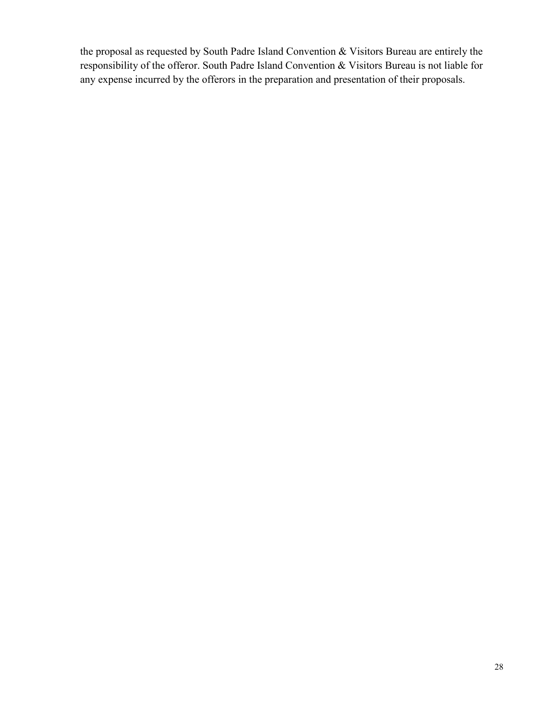the proposal as requested by South Padre Island Convention & Visitors Bureau are entirely the responsibility of the offeror. South Padre Island Convention & Visitors Bureau is not liable for any expense incurred by the offerors in the preparation and presentation of their proposals.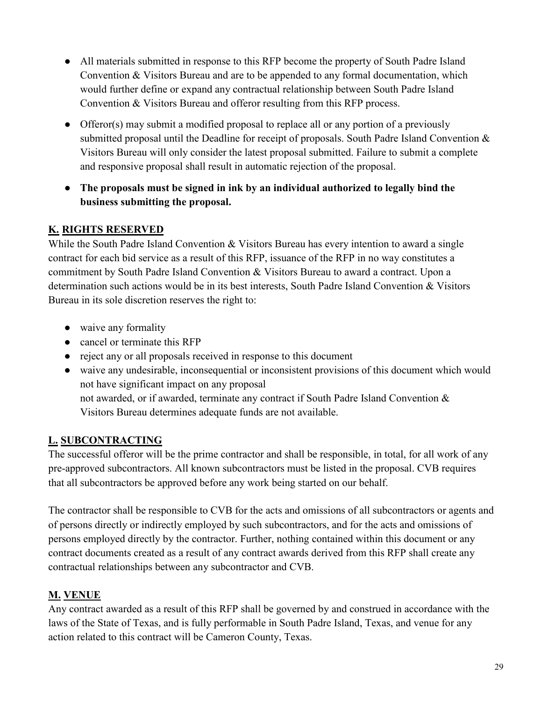- All materials submitted in response to this RFP become the property of South Padre Island Convention & Visitors Bureau and are to be appended to any formal documentation, which would further define or expand any contractual relationship between South Padre Island Convention & Visitors Bureau and offeror resulting from this RFP process.
- Offeror(s) may submit a modified proposal to replace all or any portion of a previously submitted proposal until the Deadline for receipt of proposals. South Padre Island Convention & Visitors Bureau will only consider the latest proposal submitted. Failure to submit a complete and responsive proposal shall result in automatic rejection of the proposal.
- **The proposals must be signed in ink by an individual authorized to legally bind the business submitting the proposal.**

### **K. RIGHTS RESERVED**

While the South Padre Island Convention & Visitors Bureau has every intention to award a single contract for each bid service as a result of this RFP, issuance of the RFP in no way constitutes a commitment by South Padre Island Convention & Visitors Bureau to award a contract. Upon a determination such actions would be in its best interests, South Padre Island Convention & Visitors Bureau in its sole discretion reserves the right to:

- waive any formality
- cancel or terminate this RFP
- reject any or all proposals received in response to this document
- waive any undesirable, inconsequential or inconsistent provisions of this document which would not have significant impact on any proposal not awarded, or if awarded, terminate any contract if South Padre Island Convention & Visitors Bureau determines adequate funds are not available.

### **L. SUBCONTRACTING**

The successful offeror will be the prime contractor and shall be responsible, in total, for all work of any pre-approved subcontractors. All known subcontractors must be listed in the proposal. CVB requires that all subcontractors be approved before any work being started on our behalf.

The contractor shall be responsible to CVB for the acts and omissions of all subcontractors or agents and of persons directly or indirectly employed by such subcontractors, and for the acts and omissions of persons employed directly by the contractor. Further, nothing contained within this document or any contract documents created as a result of any contract awards derived from this RFP shall create any contractual relationships between any subcontractor and CVB.

### **M. VENUE**

Any contract awarded as a result of this RFP shall be governed by and construed in accordance with the laws of the State of Texas, and is fully performable in South Padre Island, Texas, and venue for any action related to this contract will be Cameron County, Texas.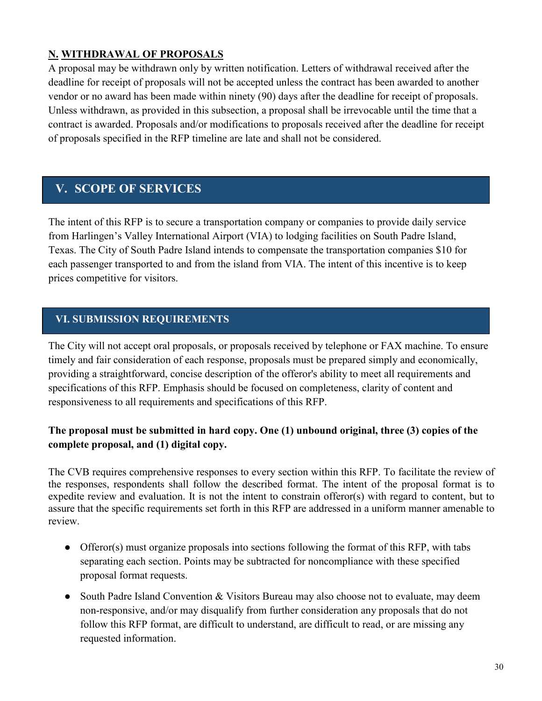### **N. WITHDRAWAL OF PROPOSALS**

A proposal may be withdrawn only by written notification. Letters of withdrawal received after the deadline for receipt of proposals will not be accepted unless the contract has been awarded to another vendor or no award has been made within ninety (90) days after the deadline for receipt of proposals. Unless withdrawn, as provided in this subsection, a proposal shall be irrevocable until the time that a contract is awarded. Proposals and/or modifications to proposals received after the deadline for receipt of proposals specified in the RFP timeline are late and shall not be considered.

### **V. SCOPE OF SERVICES**

The intent of this RFP is to secure a transportation company or companies to provide daily service from Harlingen's Valley International Airport (VIA) to lodging facilities on South Padre Island, Texas. The City of South Padre Island intends to compensate the transportation companies \$10 for each passenger transported to and from the island from VIA. The intent of this incentive is to keep prices competitive for visitors.

### **VI. SUBMISSION REQUIREMENTS**

The City will not accept oral proposals, or proposals received by telephone or FAX machine. To ensure timely and fair consideration of each response, proposals must be prepared simply and economically, providing a straightforward, concise description of the offeror's ability to meet all requirements and specifications of this RFP. Emphasis should be focused on completeness, clarity of content and responsiveness to all requirements and specifications of this RFP.

### **The proposal must be submitted in hard copy. One (1) unbound original, three (3) copies of the complete proposal, and (1) digital copy.**

The CVB requires comprehensive responses to every section within this RFP. To facilitate the review of the responses, respondents shall follow the described format. The intent of the proposal format is to expedite review and evaluation. It is not the intent to constrain offeror(s) with regard to content, but to assure that the specific requirements set forth in this RFP are addressed in a uniform manner amenable to review.

- Offeror(s) must organize proposals into sections following the format of this RFP, with tabs separating each section. Points may be subtracted for noncompliance with these specified proposal format requests.
- South Padre Island Convention & Visitors Bureau may also choose not to evaluate, may deem non-responsive, and/or may disqualify from further consideration any proposals that do not follow this RFP format, are difficult to understand, are difficult to read, or are missing any requested information.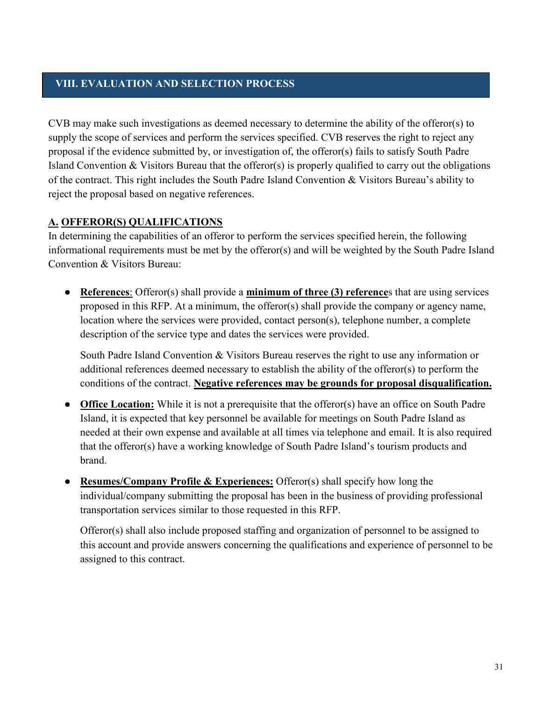### **VIII. EVALUATION AND SELECTION PROCESS**

CVB may make such investigations as deemed necessary to determine the ability of the offeror(s) to supply the scope of services and perform the services specified. CVB reserves the right to reject any proposal if the evidence submitted by, or investigation of, the offeror(s) fails to satisfy South Padre Island Convention & Visitors Bureau that the offeror(s) is properly qualified to carry out the obligations of the contract. This right includes the South Padre Island Convention & Visitors Bureau's ability to reject the proposal based on negative references.

### **A. OFFEROR(S) QUALIFICATIONS**

In determining the capabilities of an offeror to perform the services specified herein, the following informational requirements must be met by the offeror(s) and will be weighted by the South Padre Island Convention & Visitors Bureau:

● **References**: Offeror(s) shall provide a **minimum of three (3) reference**s that are using services proposed in this RFP. At a minimum, the offeror(s) shall provide the company or agency name, location where the services were provided, contact person(s), telephone number, a complete description of the service type and dates the services were provided.

South Padre Island Convention & Visitors Bureau reserves the right to use any information or additional references deemed necessary to establish the ability of the offeror(s) to perform the conditions of the contract. **Negative references may be grounds for proposal disqualification.**

- **Office Location:** While it is not a prerequisite that the offeror(s) have an office on South Padre Island, it is expected that key personnel be available for meetings on South Padre Island as needed at their own expense and available at all times via telephone and email. It is also required that the offeror(s) have a working knowledge of South Padre Island's tourism products and brand.
- **Resumes/Company Profile & Experiences:** Offeror(s) shall specify how long the individual/company submitting the proposal has been in the business of providing professional transportation services similar to those requested in this RFP.

Offeror(s) shall also include proposed staffing and organization of personnel to be assigned to this account and provide answers concerning the qualifications and experience of personnel to be assigned to this contract.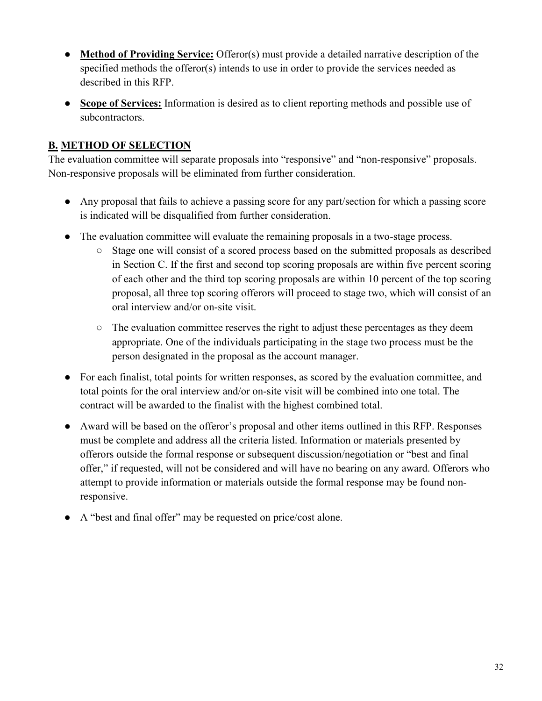- **Method of Providing Service:** Offeror(s) must provide a detailed narrative description of the specified methods the offeror(s) intends to use in order to provide the services needed as described in this RFP.
- **Scope of Services:** Information is desired as to client reporting methods and possible use of subcontractors.

### **B. METHOD OF SELECTION**

The evaluation committee will separate proposals into "responsive" and "non-responsive" proposals. Non-responsive proposals will be eliminated from further consideration.

- Any proposal that fails to achieve a passing score for any part/section for which a passing score is indicated will be disqualified from further consideration.
- The evaluation committee will evaluate the remaining proposals in a two-stage process.
	- Stage one will consist of a scored process based on the submitted proposals as described in Section C. If the first and second top scoring proposals are within five percent scoring of each other and the third top scoring proposals are within 10 percent of the top scoring proposal, all three top scoring offerors will proceed to stage two, which will consist of an oral interview and/or on-site visit.
	- The evaluation committee reserves the right to adjust these percentages as they deem appropriate. One of the individuals participating in the stage two process must be the person designated in the proposal as the account manager.
- For each finalist, total points for written responses, as scored by the evaluation committee, and total points for the oral interview and/or on-site visit will be combined into one total. The contract will be awarded to the finalist with the highest combined total.
- Award will be based on the offeror's proposal and other items outlined in this RFP. Responses must be complete and address all the criteria listed. Information or materials presented by offerors outside the formal response or subsequent discussion/negotiation or "best and final offer," if requested, will not be considered and will have no bearing on any award. Offerors who attempt to provide information or materials outside the formal response may be found nonresponsive.
- A "best and final offer" may be requested on price/cost alone.